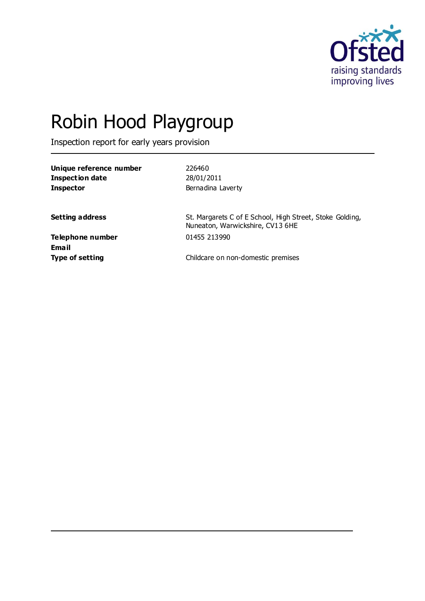

# Robin Hood Playgroup

Inspection report for early years provision

| Unique reference number |  |
|-------------------------|--|
| Inspection date         |  |
| <b>Inspector</b>        |  |

**Unique reference number** 226460 **Inspection date** 28/01/2011 **Bernadina Laverty** 

**Setting address** St. Margarets C of E School, High Street, Stoke Golding, Nuneaton, Warwickshire, CV13 6HE

**Telephone number** 01455 213990 **Email**

**Type of setting** Type of setting **Childcare on non-domestic premises**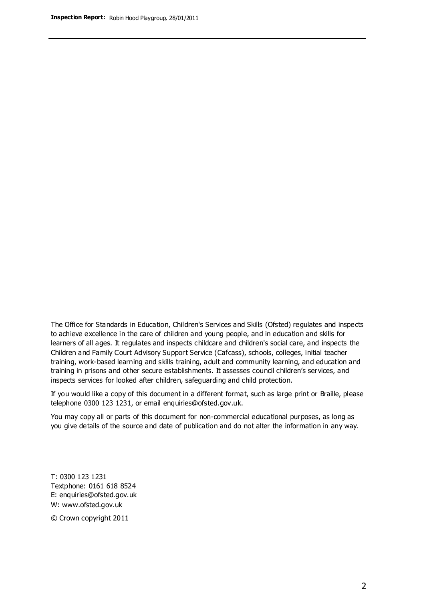The Office for Standards in Education, Children's Services and Skills (Ofsted) regulates and inspects to achieve excellence in the care of children and young people, and in education and skills for learners of all ages. It regulates and inspects childcare and children's social care, and inspects the Children and Family Court Advisory Support Service (Cafcass), schools, colleges, initial teacher training, work-based learning and skills training, adult and community learning, and education and training in prisons and other secure establishments. It assesses council children's services, and inspects services for looked after children, safeguarding and child protection.

If you would like a copy of this document in a different format, such as large print or Braille, please telephone 0300 123 1231, or email enquiries@ofsted.gov.uk.

You may copy all or parts of this document for non-commercial educational purposes, as long as you give details of the source and date of publication and do not alter the information in any way.

T: 0300 123 1231 Textphone: 0161 618 8524 E: enquiries@ofsted.gov.uk W: [www.ofsted.gov.uk](http://www.ofsted.gov.uk/)

© Crown copyright 2011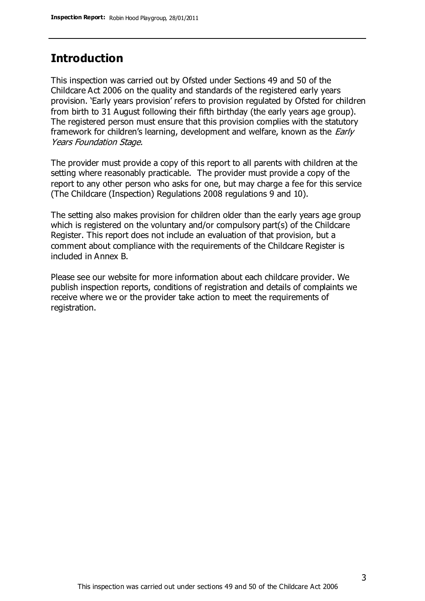## **Introduction**

This inspection was carried out by Ofsted under Sections 49 and 50 of the Childcare Act 2006 on the quality and standards of the registered early years provision. 'Early years provision' refers to provision regulated by Ofsted for children from birth to 31 August following their fifth birthday (the early years age group). The registered person must ensure that this provision complies with the statutory framework for children's learning, development and welfare, known as the *Early* Years Foundation Stage.

The provider must provide a copy of this report to all parents with children at the setting where reasonably practicable. The provider must provide a copy of the report to any other person who asks for one, but may charge a fee for this service (The Childcare (Inspection) Regulations 2008 regulations 9 and 10).

The setting also makes provision for children older than the early years age group which is registered on the voluntary and/or compulsory part(s) of the Childcare Register. This report does not include an evaluation of that provision, but a comment about compliance with the requirements of the Childcare Register is included in Annex B.

Please see our website for more information about each childcare provider. We publish inspection reports, conditions of registration and details of complaints we receive where we or the provider take action to meet the requirements of registration.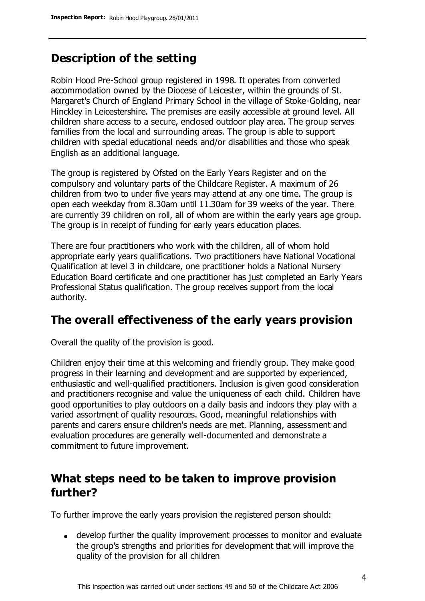## **Description of the setting**

Robin Hood Pre-School group registered in 1998. It operates from converted accommodation owned by the Diocese of Leicester, within the grounds of St. Margaret's Church of England Primary School in the village of Stoke-Golding, near Hinckley in Leicestershire. The premises are easily accessible at ground level. All children share access to a secure, enclosed outdoor play area. The group serves families from the local and surrounding areas. The group is able to support children with special educational needs and/or disabilities and those who speak English as an additional language.

The group is registered by Ofsted on the Early Years Register and on the compulsory and voluntary parts of the Childcare Register. A maximum of 26 children from two to under five years may attend at any one time. The group is open each weekday from 8.30am until 11.30am for 39 weeks of the year. There are currently 39 children on roll, all of whom are within the early years age group. The group is in receipt of funding for early years education places.

There are four practitioners who work with the children, all of whom hold appropriate early years qualifications. Two practitioners have National Vocational Qualification at level 3 in childcare, one practitioner holds a National Nursery Education Board certificate and one practitioner has just completed an Early Years Professional Status qualification. The group receives support from the local authority.

## **The overall effectiveness of the early years provision**

Overall the quality of the provision is good.

Children enjoy their time at this welcoming and friendly group. They make good progress in their learning and development and are supported by experienced, enthusiastic and well-qualified practitioners. Inclusion is given good consideration and practitioners recognise and value the uniqueness of each child. Children have good opportunities to play outdoors on a daily basis and indoors they play with a varied assortment of quality resources. Good, meaningful relationships with parents and carers ensure children's needs are met. Planning, assessment and evaluation procedures are generally well-documented and demonstrate a commitment to future improvement.

# **What steps need to be taken to improve provision further?**

To further improve the early years provision the registered person should:

develop further the quality improvement processes to monitor and evaluate the group's strengths and priorities for development that will improve the quality of the provision for all children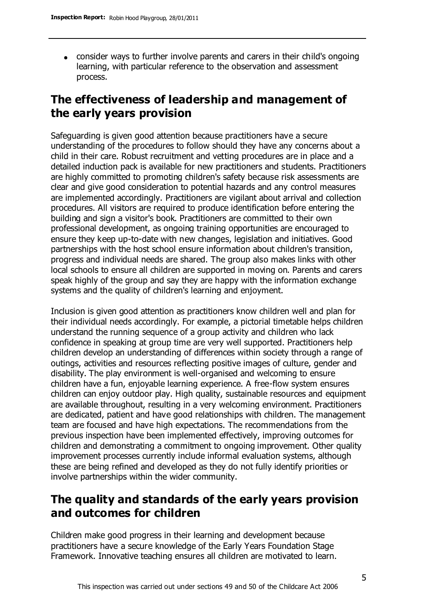consider ways to further involve parents and carers in their child's ongoing learning, with particular reference to the observation and assessment process.

# **The effectiveness of leadership and management of the early years provision**

Safeguarding is given good attention because practitioners have a secure understanding of the procedures to follow should they have any concerns about a child in their care. Robust recruitment and vetting procedures are in place and a detailed induction pack is available for new practitioners and students. Practitioners are highly committed to promoting children's safety because risk assessments are clear and give good consideration to potential hazards and any control measures are implemented accordingly. Practitioners are vigilant about arrival and collection procedures. All visitors are required to produce identification before entering the building and sign a visitor's book. Practitioners are committed to their own professional development, as ongoing training opportunities are encouraged to ensure they keep up-to-date with new changes, legislation and initiatives. Good partnerships with the host school ensure information about children's transition, progress and individual needs are shared. The group also makes links with other local schools to ensure all children are supported in moving on. Parents and carers speak highly of the group and say they are happy with the information exchange systems and the quality of children's learning and enjoyment.

Inclusion is given good attention as practitioners know children well and plan for their individual needs accordingly. For example, a pictorial timetable helps children understand the running sequence of a group activity and children who lack confidence in speaking at group time are very well supported. Practitioners help children develop an understanding of differences within society through a range of outings, activities and resources reflecting positive images of culture, gender and disability. The play environment is well-organised and welcoming to ensure children have a fun, enjoyable learning experience. A free-flow system ensures children can enjoy outdoor play. High quality, sustainable resources and equipment are available throughout, resulting in a very welcoming environment. Practitioners are dedicated, patient and have good relationships with children. The management team are focused and have high expectations. The recommendations from the previous inspection have been implemented effectively, improving outcomes for children and demonstrating a commitment to ongoing improvement. Other quality improvement processes currently include informal evaluation systems, although these are being refined and developed as they do not fully identify priorities or involve partnerships within the wider community.

# **The quality and standards of the early years provision and outcomes for children**

Children make good progress in their learning and development because practitioners have a secure knowledge of the Early Years Foundation Stage Framework. Innovative teaching ensures all children are motivated to learn.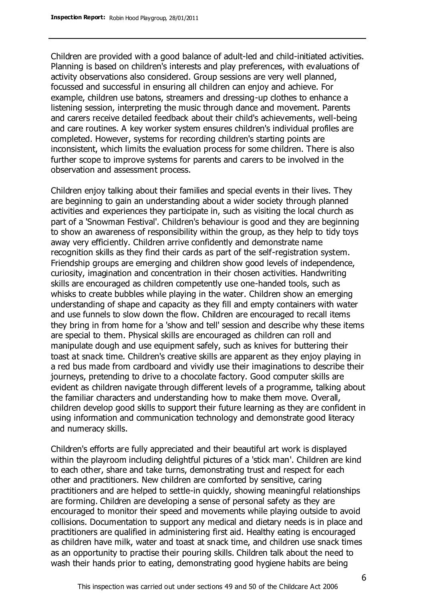Children are provided with a good balance of adult-led and child-initiated activities. Planning is based on children's interests and play preferences, with evaluations of activity observations also considered. Group sessions are very well planned, focussed and successful in ensuring all children can enjoy and achieve. For example, children use batons, streamers and dressing-up clothes to enhance a listening session, interpreting the music through dance and movement. Parents and carers receive detailed feedback about their child's achievements, well-being and care routines. A key worker system ensures children's individual profiles are completed. However, systems for recording children's starting points are inconsistent, which limits the evaluation process for some children. There is also further scope to improve systems for parents and carers to be involved in the observation and assessment process.

Children enjoy talking about their families and special events in their lives. They are beginning to gain an understanding about a wider society through planned activities and experiences they participate in, such as visiting the local church as part of a 'Snowman Festival'. Children's behaviour is good and they are beginning to show an awareness of responsibility within the group, as they help to tidy toys away very efficiently. Children arrive confidently and demonstrate name recognition skills as they find their cards as part of the self-registration system. Friendship groups are emerging and children show good levels of independence, curiosity, imagination and concentration in their chosen activities. Handwriting skills are encouraged as children competently use one-handed tools, such as whisks to create bubbles while playing in the water. Children show an emerging understanding of shape and capacity as they fill and empty containers with water and use funnels to slow down the flow. Children are encouraged to recall items they bring in from home for a 'show and tell' session and describe why these items are special to them. Physical skills are encouraged as children can roll and manipulate dough and use equipment safely, such as knives for buttering their toast at snack time. Children's creative skills are apparent as they enjoy playing in a red bus made from cardboard and vividly use their imaginations to describe their journeys, pretending to drive to a chocolate factory. Good computer skills are evident as children navigate through different levels of a programme, talking about the familiar characters and understanding how to make them move. Overall, children develop good skills to support their future learning as they are confident in using information and communication technology and demonstrate good literacy and numeracy skills.

Children's efforts are fully appreciated and their beautiful art work is displayed within the playroom including delightful pictures of a 'stick man'. Children are kind to each other, share and take turns, demonstrating trust and respect for each other and practitioners. New children are comforted by sensitive, caring practitioners and are helped to settle-in quickly, showing meaningful relationships are forming. Children are developing a sense of personal safety as they are encouraged to monitor their speed and movements while playing outside to avoid collisions. Documentation to support any medical and dietary needs is in place and practitioners are qualified in administering first aid. Healthy eating is encouraged as children have milk, water and toast at snack time, and children use snack times as an opportunity to practise their pouring skills. Children talk about the need to wash their hands prior to eating, demonstrating good hygiene habits are being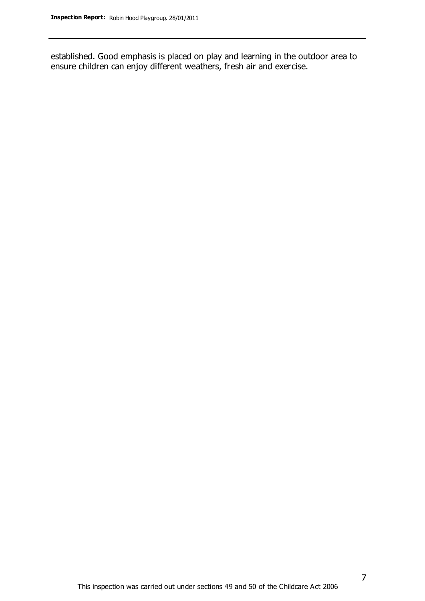established. Good emphasis is placed on play and learning in the outdoor area to ensure children can enjoy different weathers, fresh air and exercise.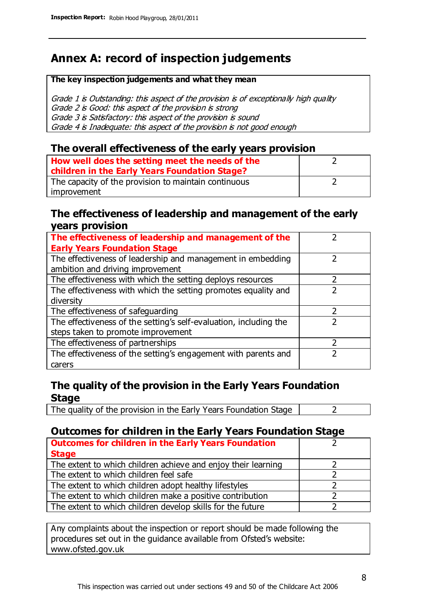# **Annex A: record of inspection judgements**

#### **The key inspection judgements and what they mean**

Grade 1 is Outstanding: this aspect of the provision is of exceptionally high quality Grade 2 is Good: this aspect of the provision is strong Grade 3 is Satisfactory: this aspect of the provision is sound Grade 4 is Inadequate: this aspect of the provision is not good enough

#### **The overall effectiveness of the early years provision**

| How well does the setting meet the needs of the<br>children in the Early Years Foundation Stage? |  |
|--------------------------------------------------------------------------------------------------|--|
| The capacity of the provision to maintain continuous                                             |  |
| improvement                                                                                      |  |

#### **The effectiveness of leadership and management of the early years provision**

| The effectiveness of leadership and management of the             |  |
|-------------------------------------------------------------------|--|
| <b>Early Years Foundation Stage</b>                               |  |
| The effectiveness of leadership and management in embedding       |  |
| ambition and driving improvement                                  |  |
| The effectiveness with which the setting deploys resources        |  |
| The effectiveness with which the setting promotes equality and    |  |
| diversity                                                         |  |
| The effectiveness of safeguarding                                 |  |
| The effectiveness of the setting's self-evaluation, including the |  |
| steps taken to promote improvement                                |  |
| The effectiveness of partnerships                                 |  |
| The effectiveness of the setting's engagement with parents and    |  |
| carers                                                            |  |

### **The quality of the provision in the Early Years Foundation Stage**

The quality of the provision in the Early Years Foundation Stage  $\vert$  2

## **Outcomes for children in the Early Years Foundation Stage**

| <b>Outcomes for children in the Early Years Foundation</b>    |  |
|---------------------------------------------------------------|--|
| <b>Stage</b>                                                  |  |
| The extent to which children achieve and enjoy their learning |  |
| The extent to which children feel safe                        |  |
| The extent to which children adopt healthy lifestyles         |  |
| The extent to which children make a positive contribution     |  |
| The extent to which children develop skills for the future    |  |

Any complaints about the inspection or report should be made following the procedures set out in the guidance available from Ofsted's website: www.ofsted.gov.uk